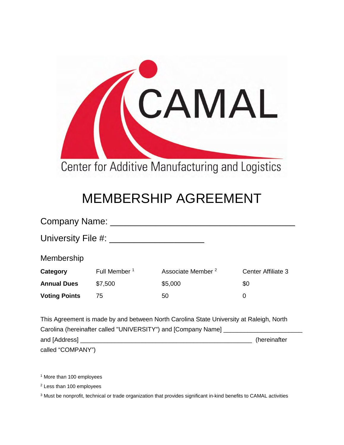

## MEMBERSHIP AGREEMENT

| Company Name: _      |                          |                               |                    |
|----------------------|--------------------------|-------------------------------|--------------------|
| University File #: _ |                          |                               |                    |
| Membership           |                          |                               |                    |
| Category             | Full Member <sup>1</sup> | Associate Member <sup>2</sup> | Center Affiliate 3 |
| <b>Annual Dues</b>   | \$7,500                  | \$5,000                       | \$0                |
| <b>Voting Points</b> | 75                       | 50                            | 0                  |
|                      |                          |                               |                    |

This Agreement is made by and between North Carolina State University at Raleigh, North Carolina (hereinafter called "UNIVERSITY") and [Company Name] \_\_\_\_\_\_\_ and [Address] \_\_\_\_\_\_\_\_\_\_\_\_\_\_\_\_\_\_\_\_\_\_\_\_\_\_\_\_\_\_\_\_\_\_\_\_\_\_\_\_\_\_\_\_\_\_\_\_\_\_ (hereinafter called "COMPANY")

1 More than 100 employees

2 Less than 100 employees

 $3$  Must be nonprofit, technical or trade organization that provides significant in-kind benefits to CAMAL activities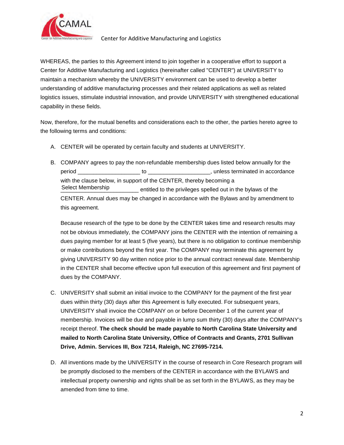

## Center for Additive Manufacturing and Logistics

 logistics issues, stimulate industrial innovation, and provide UNIVERSITY with strengthened educational WHEREAS, the parties to this Agreement intend to join together in a cooperative effort to support a Center for Additive Manufacturing and Logistics (hereinafter called "CENTER") at UNIVERSITY to maintain a mechanism whereby the UNIVERSITY environment can be used to develop a better understanding of additive manufacturing processes and their related applications as well as related capability in these fields.

Now, therefore, for the mutual benefits and considerations each to the other, the parties hereto agree to the following terms and conditions:

- A. CENTER will be operated by certain faculty and students at UNIVERSITY.
- B. COMPANY agrees to pay the non-refundable membership dues listed below annually for the period \_\_\_\_\_\_\_\_\_\_\_\_\_\_\_\_\_\_\_\_ to \_\_\_\_\_\_\_\_\_\_\_\_\_\_\_\_\_\_\_\_, unless terminated in accordance with the clause below, in support of the CENTER, thereby becoming a \_\_\_\_\_\_\_\_\_\_\_\_\_\_\_\_\_\_\_\_\_\_\_\_\_ entitled to the privileges spelled out in the bylaws of the CENTER. Annual dues may be changed in accordance with the Bylaws and by amendment to this agreement. Select Membership

 dues paying member for at least 5 (five years), but there is no obligation to continue membership Because research of the type to be done by the CENTER takes time and research results may not be obvious immediately, the COMPANY joins the CENTER with the intention of remaining a or make contributions beyond the first year. The COMPANY may terminate this agreement by giving UNIVERSITY 90 day written notice prior to the annual contract renewal date. Membership in the CENTER shall become effective upon full execution of this agreement and first payment of dues by the COMPANY.

- dues within thirty (30) days after this Agreement is fully executed. For subsequent years, C. UNIVERSITY shall submit an initial invoice to the COMPANY for the payment of the first year UNIVERSITY shall invoice the COMPANY on or before December 1 of the current year of membership. Invoices will be due and payable in lump sum thirty (30) days after the COMPANY's receipt thereof. **The check should be made payable to North Carolina State University and mailed to North Carolina State University, Office of Contracts and Grants, 2701 Sullivan Drive, Admin. Services III, Box 7214, Raleigh, NC 27695-7214.**
- intellectual property ownership and rights shall be as set forth in the BYLAWS, as they may be D. All inventions made by the UNIVERSITY in the course of research in Core Research program will be promptly disclosed to the members of the CENTER in accordance with the BYLAWS and amended from time to time.